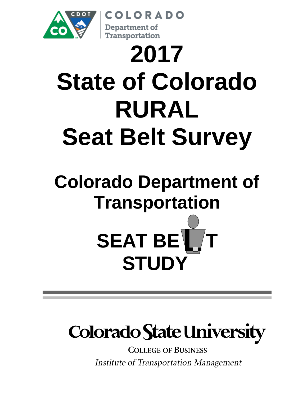

# **2017 State of Colorado RURAL Seat Belt Survey**

OLORADO

Department of Transportation

# **Colorado Department of Transportation SEAT BE STUDY**

# **Colorado State University**

**COLLEGE OF BUSINESS Institute of Transportation Management**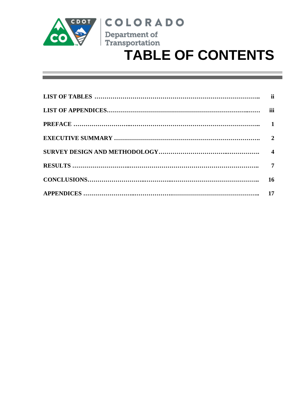

### **COLORADO** Department of



| 16 |
|----|
|    |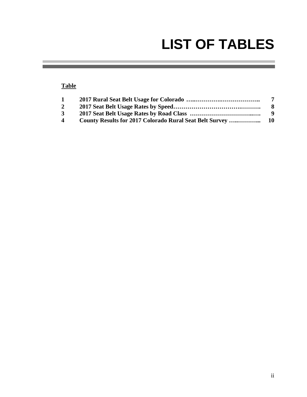### **LIST OF TABLES**

#### **Table**

| $\mathbf{1}$            | 7    |
|-------------------------|------|
| $\overline{2}$          | -8   |
| $3^{\circ}$             | - 9  |
| $\overline{\mathbf{4}}$ | - 10 |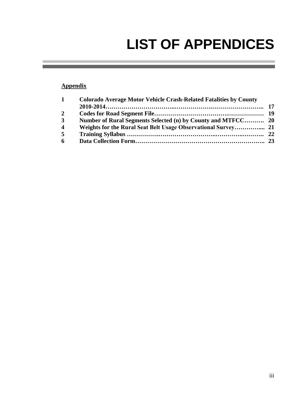# **LIST OF APPENDICES**

#### **Appendix**

| $\mathbf{1}$            | <b>Colorado Average Motor Vehicle Crash-Related Fatalities by County</b> |  |
|-------------------------|--------------------------------------------------------------------------|--|
|                         |                                                                          |  |
| $\overline{2}$          |                                                                          |  |
| $\mathbf{3}$            |                                                                          |  |
| $\overline{\mathbf{4}}$ |                                                                          |  |
| $\overline{5}$          |                                                                          |  |
| 6                       |                                                                          |  |
|                         |                                                                          |  |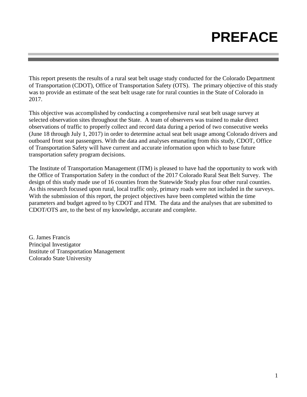### **PREFACE**

This report presents the results of a rural seat belt usage study conducted for the Colorado Department of Transportation (CDOT), Office of Transportation Safety (OTS). The primary objective of this study was to provide an estimate of the seat belt usage rate for rural counties in the State of Colorado in 2017.

This objective was accomplished by conducting a comprehensive rural seat belt usage survey at selected observation sites throughout the State. A team of observers was trained to make direct observations of traffic to properly collect and record data during a period of two consecutive weeks (June 18 through July 1, 2017) in order to determine actual seat belt usage among Colorado drivers and outboard front seat passengers. With the data and analyses emanating from this study, CDOT, Office of Transportation Safety will have current and accurate information upon which to base future transportation safety program decisions.

The Institute of Transportation Management (ITM) is pleased to have had the opportunity to work with the Office of Transportation Safety in the conduct of the 2017 Colorado Rural Seat Belt Survey. The design of this study made use of 16 counties from the Statewide Study plus four other rural counties. As this research focused upon rural, local traffic only, primary roads were not included in the surveys. With the submission of this report, the project objectives have been completed within the time parameters and budget agreed to by CDOT and ITM. The data and the analyses that are submitted to CDOT/OTS are, to the best of my knowledge, accurate and complete.

G. James Francis Principal Investigator Institute of Transportation Management Colorado State University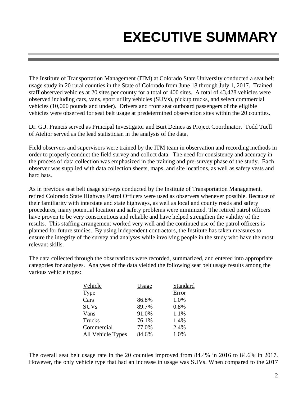# **EXECUTIVE SUMMARY**

The Institute of Transportation Management (ITM) at Colorado State University conducted a seat belt usage study in 20 rural counties in the State of Colorado from June 18 through July 1, 2017. Trained staff observed vehicles at 20 sites per county for a total of 400 sites. A total of 43,428 vehicles were observed including cars, vans, sport utility vehicles (SUVs), pickup trucks, and select commercial vehicles (10,000 pounds and under). Drivers and front seat outboard passengers of the eligible vehicles were observed for seat belt usage at predetermined observation sites within the 20 counties.

Dr. G.J. Francis served as Principal Investigator and Burt Deines as Project Coordinator. Todd Tuell of Atelior served as the lead statistician in the analysis of the data.

Field observers and supervisors were trained by the ITM team in observation and recording methods in order to properly conduct the field survey and collect data. The need for consistency and accuracy in the process of data collection was emphasized in the training and pre-survey phase of the study. Each observer was supplied with data collection sheets, maps, and site locations, as well as safety vests and hard hats.

As in previous seat belt usage surveys conducted by the Institute of Transportation Management, retired Colorado State Highway Patrol Officers were used as observers whenever possible. Because of their familiarity with interstate and state highways, as well as local and county roads and safety procedures, many potential location and safety problems were minimized. The retired patrol officers have proven to be very conscientious and reliable and have helped strengthen the validity of the results. This staffing arrangement worked very well and the continued use of the patrol officers is planned for future studies. By using independent contractors, the Institute has taken measures to ensure the integrity of the survey and analyses while involving people in the study who have the most relevant skills.

The data collected through the observations were recorded, summarized, and entered into appropriate categories for analyses. Analyses of the data yielded the following seat belt usage results among the various vehicle types:

| Usage | Standard |
|-------|----------|
|       | Error    |
| 86.8% | 1.0%     |
| 89.7% | 0.8%     |
| 91.0% | 1.1%     |
| 76.1% | 1.4%     |
| 77.0% | 2.4%     |
| 84.6% | 1.0%     |
|       |          |

The overall seat belt usage rate in the 20 counties improved from 84.4% in 2016 to 84.6% in 2017. However, the only vehicle type that had an increase in usage was SUVs. When compared to the 2017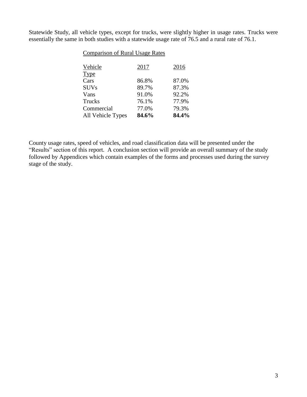Statewide Study, all vehicle types, except for trucks, were slightly higher in usage rates. Trucks were essentially the same in both studies with a statewide usage rate of 76.5 and a rural rate of 76.1.

| <b>Comparison of Rural Usage Rates</b> |       |  |  |  |  |  |  |
|----------------------------------------|-------|--|--|--|--|--|--|
| 2017                                   | 2016  |  |  |  |  |  |  |
|                                        |       |  |  |  |  |  |  |
| 86.8%                                  | 87.0% |  |  |  |  |  |  |
| 89.7%                                  | 87.3% |  |  |  |  |  |  |
| 91.0%                                  | 92.2% |  |  |  |  |  |  |
| 76.1%                                  | 77.9% |  |  |  |  |  |  |
| 77.0%                                  | 79.3% |  |  |  |  |  |  |
| 84.6%                                  | 84.4% |  |  |  |  |  |  |
|                                        |       |  |  |  |  |  |  |

County usage rates, speed of vehicles, and road classification data will be presented under the "Results" section of this report. A conclusion section will provide an overall summary of the study followed by Appendices which contain examples of the forms and processes used during the survey stage of the study.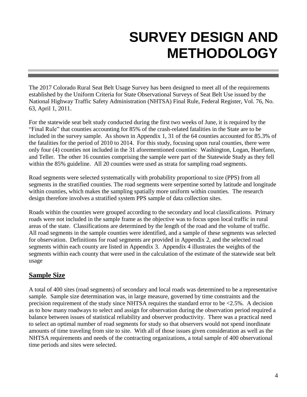### **SURVEY DESIGN AND METHODOLOGY**

The 2017 Colorado Rural Seat Belt Usage Survey has been designed to meet all of the requirements established by the Uniform Criteria for State Observational Surveys of Seat Belt Use issued by the National Highway Traffic Safety Administration (NHTSA) Final Rule, Federal Register, Vol. 76, No. 63, April 1, 2011.

For the statewide seat belt study conducted during the first two weeks of June, it is required by the "Final Rule" that counties accounting for 85% of the crash-related fatalities in the State are to be included in the survey sample. As shown in Appendix 1, 31 of the 64 counties accounted for 85.3% of the fatalities for the period of 2010 to 2014. For this study, focusing upon rural counties, there were only four (4) counties not included in the 31 aforementioned counties: Washington, Logan, Huerfano, and Teller. The other 16 counties comprising the sample were part of the Statewide Study as they fell within the 85% guideline. All 20 counties were used as strata for sampling road segments.

Road segments were selected systematically with probability proportional to size (PPS) from all segments in the stratified counties. The road segments were serpentine sorted by latitude and longitude within counties, which makes the sampling spatially more uniform within counties. The research design therefore involves a stratified system PPS sample of data collection sites.

Roads within the counties were grouped according to the secondary and local classifications. Primary roads were not included in the sample frame as the objective was to focus upon local traffic in rural areas of the state. Classifications are determined by the length of the road and the volume of traffic. All road segments in the sample counties were identified, and a sample of these segments was selected for observation. Definitions for road segments are provided in Appendix 2, and the selected road segments within each county are listed in Appendix 3. Appendix 4 illustrates the weights of the segments within each county that were used in the calculation of the estimate of the statewide seat belt usage

#### **Sample Size**

A total of 400 sites (road segments) of secondary and local roads was determined to be a representative sample. Sample size determination was, in large measure, governed by time constraints and the precision requirement of the study since NHTSA requires the standard error to be <2.5%. A decision as to how many roadways to select and assign for observation during the observation period required a balance between issues of statistical reliability and observer productivity. There was a practical need to select an optimal number of road segments for study so that observers would not spend inordinate amounts of time traveling from site to site. With all of those issues given consideration as well as the NHTSA requirements and needs of the contracting organizations, a total sample of 400 observational time periods and sites were selected.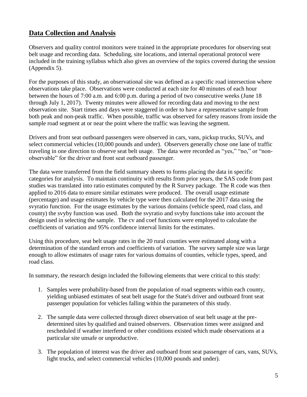#### **Data Collection and Analysis**

Observers and quality control monitors were trained in the appropriate procedures for observing seat belt usage and recording data. Scheduling, site locations, and internal operational protocol were included in the training syllabus which also gives an overview of the topics covered during the session (Appendix 5).

For the purposes of this study, an observational site was defined as a specific road intersection where observations take place. Observations were conducted at each site for 40 minutes of each hour between the hours of 7:00 a.m. and 6:00 p.m. during a period of two consecutive weeks (June 18 through July 1, 2017). Twenty minutes were allowed for recording data and moving to the next observation site. Start times and days were staggered in order to have a representative sample from both peak and non-peak traffic. When possible, traffic was observed for safety reasons from inside the sample road segment at or near the point where the traffic was leaving the segment.

Drivers and front seat outboard passengers were observed in cars, vans, pickup trucks, SUVs, and select commercial vehicles (10,000 pounds and under). Observers generally chose one lane of traffic traveling in one direction to observe seat belt usage. The data were recorded as "yes," "no," or "nonobservable" for the driver and front seat outboard passenger.

The data were transferred from the field summary sheets to forms placing the data in specific categories for analysis. To maintain continuity with results from prior years, the SAS code from past studies was translated into ratio estimates computed by the R Survey package. The R code was then applied to 2016 data to ensure similar estimates were produced. The overall usage estimate (percentage) and usage estimates by vehicle type were then calculated for the 2017 data using the svyratio function. For the usage estimates by the various domains (vehicle speed, road class, and county) the svyby function was used. Both the svyratio and svyby functions take into account the design used in selecting the sample. The cv and coef functions were employed to calculate the coefficients of variation and 95% confidence interval limits for the estimates.

Using this procedure, seat belt usage rates in the 20 rural counties were estimated along with a determination of the standard errors and coefficients of variation. The survey sample size was large enough to allow estimates of usage rates for various domains of counties, vehicle types, speed, and road class.

In summary, the research design included the following elements that were critical to this study:

- 1. Samples were probability-based from the population of road segments within each county, yielding unbiased estimates of seat belt usage for the State's driver and outboard front seat passenger population for vehicles falling within the parameters of this study.
- 2. The sample data were collected through direct observation of seat belt usage at the predetermined sites by qualified and trained observers. Observation times were assigned and rescheduled if weather interfered or other conditions existed which made observations at a particular site unsafe or unproductive.
- 3. The population of interest was the driver and outboard front seat passenger of cars, vans, SUVs, light trucks, and select commercial vehicles (10,000 pounds and under).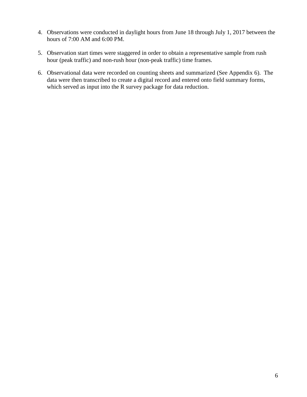- 4. Observations were conducted in daylight hours from June 18 through July 1, 2017 between the hours of 7:00 AM and 6:00 PM.
- 5. Observation start times were staggered in order to obtain a representative sample from rush hour (peak traffic) and non-rush hour (non-peak traffic) time frames.
- 6. Observational data were recorded on counting sheets and summarized (See Appendix 6). The data were then transcribed to create a digital record and entered onto field summary forms, which served as input into the R survey package for data reduction.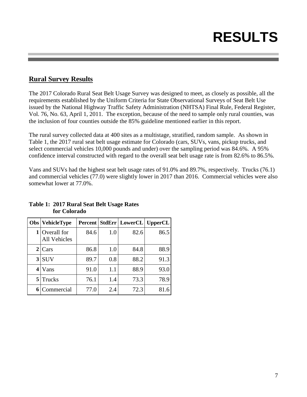## **RESULTS**

#### **Rural Survey Results**

The 2017 Colorado Rural Seat Belt Usage Survey was designed to meet, as closely as possible, all the requirements established by the Uniform Criteria for State Observational Surveys of Seat Belt Use issued by the National Highway Traffic Safety Administration (NHTSA) Final Rule, Federal Register, Vol. 76, No. 63, April 1, 2011. The exception, because of the need to sample only rural counties, was the inclusion of four counties outside the 85% guideline mentioned earlier in this report.

The rural survey collected data at 400 sites as a multistage, stratified, random sample. As shown in Table 1, the 2017 rural seat belt usage estimate for Colorado (cars, SUVs, vans, pickup trucks, and select commercial vehicles 10,000 pounds and under) over the sampling period was 84.6%. A 95% confidence interval constructed with regard to the overall seat belt usage rate is from 82.6% to 86.5%.

Vans and SUVs had the highest seat belt usage rates of 91.0% and 89.7%, respectively. Trucks (76.1) and commercial vehicles (77.0) were slightly lower in 2017 than 2016. Commercial vehicles were also somewhat lower at 77.0%.

| Obs | <b>VehicleType</b>                 |      |     | <b>Percent   StdErr   LowerCL   UpperCL</b> |      |
|-----|------------------------------------|------|-----|---------------------------------------------|------|
| 1   | Overall for<br><b>All Vehicles</b> | 84.6 | 1.0 | 82.6                                        | 86.5 |
| 2   | Cars                               | 86.8 | 1.0 | 84.8                                        | 88.9 |
| 3   | <b>SUV</b>                         | 89.7 | 0.8 | 88.2                                        | 91.3 |
| 4   | Vans                               | 91.0 | 1.1 | 88.9                                        | 93.0 |
| 5   | Trucks                             | 76.1 | 1.4 | 73.3                                        | 78.9 |
| 6   | Commercial                         | 77.0 | 2.4 | 72.3                                        | 81.6 |

#### **Table 1: 2017 Rural Seat Belt Usage Rates for Colorado**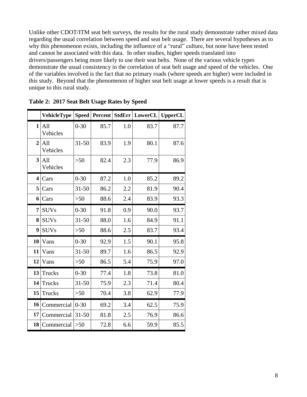Unlike other CDOT/ITM seat belt surveys, the results for the rural study demonstrate rather mixed data regarding the usual correlation between speed and seat belt usage. There are several hypotheses as to why this phenomenon exists, including the influence of a "rural" culture, but none have been tested and cannot be associated with this data. In other studies, higher speeds translated into drivers/passengers being more likely to use their seat belts. None of the various vehicle types demonstrate the usual consistency in the correlation of seat belt usage and speed of the vehicles. One of the variables involved is the fact that no primary roads (where speeds are higher) were included in this study. Beyond that the phenomenon of higher seat belt usage at lower speeds is a result that is unique to this rural study.

|                         | <b>VehicleType</b> | <b>Speed</b> | Percent |     | StdErr LowerCL | <b>UpperCL</b> |
|-------------------------|--------------------|--------------|---------|-----|----------------|----------------|
| $\mathbf{1}$            | All<br>Vehicles    | $0 - 30$     | 85.7    | 1.0 | 83.7           | 87.7           |
| $\overline{2}$          | All<br>Vehicles    | $31 - 50$    | 83.9    | 1.9 | 80.1           | 87.6           |
| 3 <sup>1</sup>          | All<br>Vehicles    | $>50$        | 82.4    | 2.3 | 77.9           | 86.9           |
| $\overline{\mathbf{4}}$ | Cars               | $0 - 30$     | 87.2    | 1.0 | 85.2           | 89.2           |
| 5                       | Cars               | $31 - 50$    | 86.2    | 2.2 | 81.9           | 90.4           |
| 6                       | Cars               | >50          | 88.6    | 2.4 | 83.9           | 93.3           |
| $\overline{7}$          | <b>SUVs</b>        | $0 - 30$     | 91.8    | 0.9 | 90.0           | 93.7           |
| 8                       | <b>SUVs</b>        | $31 - 50$    | 88.0    | 1.6 | 84.9           | 91.1           |
| $\boldsymbol{9}$        | <b>SUVs</b>        | $>50$        | 88.6    | 2.5 | 83.7           | 93.4           |
| 10                      | Vans               | $0 - 30$     | 92.9    | 1.5 | 90.1           | 95.8           |
| 11                      | Vans               | $31 - 50$    | 89.7    | 1.6 | 86.5           | 92.9           |
| 12                      | Vans               | $>50$        | 86.5    | 5.4 | 75.9           | 97.0           |
| 13                      | Trucks             | $0 - 30$     | 77.4    | 1.8 | 73.8           | 81.0           |
| 14                      | Trucks             | $31 - 50$    | 75.9    | 2.3 | 71.4           | 80.4           |
| 15                      | Trucks             | $>50$        | 70.4    | 3.8 | 62.9           | 77.9           |
| 16                      | Commercial         | $0 - 30$     | 69.2    | 3.4 | 62.5           | 75.9           |
| 17                      | Commercial         | $31 - 50$    | 81.8    | 2.5 | 76.9           | 86.6           |
| 18                      | Commercial         | $>50$        | 72.8    | 6.6 | 59.9           | 85.5           |

**Table 2: 2017 Seat Belt Usage Rates by Speed**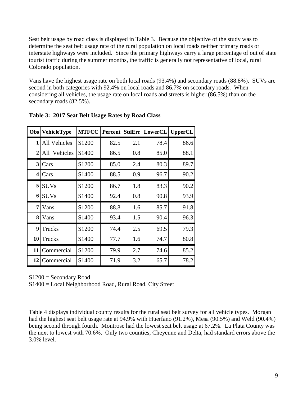Seat belt usage by road class is displayed in Table 3. Because the objective of the study was to determine the seat belt usage rate of the rural population on local roads neither primary roads or interstate highways were included. Since the primary highways carry a large percentage of out of state tourist traffic during the summer months, the traffic is generally not representative of local, rural Colorado population.

Vans have the highest usage rate on both local roads (93.4%) and secondary roads (88.8%). SUVs are second in both categories with 92.4% on local roads and 86.7% on secondary roads. When considering all vehicles, the usage rate on local roads and streets is higher (86.5%) than on the secondary roads (82.5%).

| Obs          | <b>VehicleType</b>  | <b>MTFCC</b>      | Percent |     | <b>StdErr LowerCL</b> | <b>UpperCL</b> |
|--------------|---------------------|-------------------|---------|-----|-----------------------|----------------|
| $\mathbf{1}$ | <b>All Vehicles</b> | S <sub>1200</sub> | 82.5    | 2.1 | 78.4                  | 86.6           |
| 2            | All Vehicles        | S <sub>1400</sub> | 86.5    | 0.8 | 85.0                  | 88.1           |
| $\mathbf{3}$ | Cars                | S1200             | 85.0    | 2.4 | 80.3                  | 89.7           |
| 4            | Cars                | S <sub>1400</sub> | 88.5    | 0.9 | 96.7                  | 90.2           |
| 5            | <b>SUVs</b>         | S <sub>1200</sub> | 86.7    | 1.8 | 83.3                  | 90.2           |
| 6            | <b>SUVs</b>         | S <sub>1400</sub> | 92.4    | 0.8 | 90.8                  | 93.9           |
| 7            | Vans                | S1200             | 88.8    | 1.6 | 85.7                  | 91.8           |
| 8            | Vans                | S <sub>1400</sub> | 93.4    | 1.5 | 90.4                  | 96.3           |
| 9            | Trucks              | S <sub>1200</sub> | 74.4    | 2.5 | 69.5                  | 79.3           |
| 10           | Trucks              | S <sub>1400</sub> | 77.7    | 1.6 | 74.7                  | 80.8           |
| 11           | Commercial          | S1200             | 79.9    | 2.7 | 74.6                  | 85.2           |
| 12           | Commercial          | S <sub>1400</sub> | 71.9    | 3.2 | 65.7                  | 78.2           |

**Table 3: 2017 Seat Belt Usage Rates by Road Class**

 $S1200 =$  Secondary Road

S1400 = Local Neighborhood Road, Rural Road, City Street

Table 4 displays individual county results for the rural seat belt survey for all vehicle types. Morgan had the highest seat belt usage rate at 94.9% with Huerfano (91.2%), Mesa (90.5%) and Weld (90.4%) being second through fourth. Montrose had the lowest seat belt usage at 67.2%. La Plata County was the next to lowest with 70.6%. Only two counties, Cheyenne and Delta, had standard errors above the 3.0% level.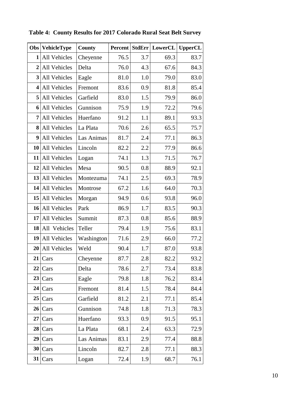| Obs                     | <b>VehicleType</b> | County     | <b>Percent</b> | <b>StdErr</b> | LowerCL | <b>UpperCL</b> |
|-------------------------|--------------------|------------|----------------|---------------|---------|----------------|
| 1                       | All Vehicles       | Cheyenne   | 76.5           | 3.7           | 69.3    | 83.7           |
| $\overline{2}$          | All Vehicles       | Delta      | 76.0           | 4.3           | 67.6    | 84.3           |
| 3                       | All Vehicles       | Eagle      | 81.0           | 1.0           | 79.0    | 83.0           |
| $\overline{\mathbf{4}}$ | All Vehicles       | Fremont    | 83.6           | 0.9           | 81.8    | 85.4           |
| 5                       | All Vehicles       | Garfield   | 83.0           | 1.5           | 79.9    | 86.0           |
| 6                       | All Vehicles       | Gunnison   | 75.9           | 1.9           | 72.2    | 79.6           |
| 7                       | All Vehicles       | Huerfano   | 91.2           | 1.1           | 89.1    | 93.3           |
| 8                       | All Vehicles       | La Plata   | 70.6           | 2.6           | 65.5    | 75.7           |
| 9                       | All Vehicles       | Las Animas | 81.7           | 2.4           | 77.1    | 86.3           |
| 10                      | All Vehicles       | Lincoln    | 82.2           | 2.2           | 77.9    | 86.6           |
| 11                      | All Vehicles       | Logan      | 74.1           | 1.3           | 71.5    | 76.7           |
| 12                      | All Vehicles       | Mesa       | 90.5           | 0.8           | 88.9    | 92.1           |
| 13                      | All Vehicles       | Montezuma  | 74.1           | 2.5           | 69.3    | 78.9           |
| 14                      | All Vehicles       | Montrose   | 67.2           | 1.6           | 64.0    | 70.3           |
| 15                      | All Vehicles       | Morgan     | 94.9           | 0.6           | 93.8    | 96.0           |
| 16                      | All Vehicles       | Park       | 86.9           | 1.7           | 83.5    | 90.3           |
| 17                      | All Vehicles       | Summit     | 87.3           | 0.8           | 85.6    | 88.9           |
| 18                      | All Vehicles       | Teller     | 79.4           | 1.9           | 75.6    | 83.1           |
| 19                      | All Vehicles       | Washington | 71.6           | 2.9           | 66.0    | 77.2           |
| 20                      | All Vehicles       | Weld       | 90.4           | 1.7           | 87.0    | 93.8           |
| 21                      | Cars               | Cheyenne   | 87.7           | 2.8           | 82.2    | 93.2           |
| 22                      | Cars               | Delta      | 78.6           | 2.7           | 73.4    | 83.8           |
| 23                      | Cars               | Eagle      | 79.8           | 1.8           | 76.2    | 83.4           |
| 24                      | Cars               | Fremont    | 81.4           | 1.5           | 78.4    | 84.4           |
| 25                      | Cars               | Garfield   | 81.2           | 2.1           | 77.1    | 85.4           |
| 26                      | Cars               | Gunnison   | 74.8           | 1.8           | 71.3    | 78.3           |
| 27                      | Cars               | Huerfano   | 93.3           | 0.9           | 91.5    | 95.1           |
| 28                      | Cars               | La Plata   | 68.1           | 2.4           | 63.3    | 72.9           |
| 29                      | Cars               | Las Animas | 83.1           | 2.9           | 77.4    | 88.8           |
| 30                      | Cars               | Lincoln    | 82.7           | 2.8           | 77.1    | 88.3           |
| 31                      | Cars               | Logan      | 72.4           | 1.9           | 68.7    | 76.1           |

**Table 4: County Results for 2017 Colorado Rural Seat Belt Survey**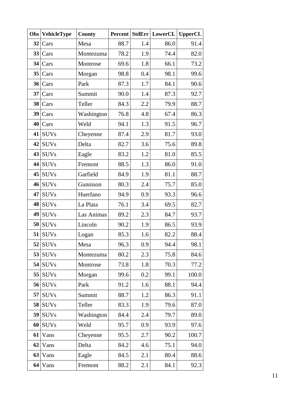| Obs | <b>VehicleType</b> | <b>County</b> | <b>Percent</b> |     | StdErr LowerCL | <b>UpperCL</b> |
|-----|--------------------|---------------|----------------|-----|----------------|----------------|
| 32  | Cars               | Mesa          | 88.7           | 1.4 | 86.0           | 91.4           |
| 33  | Cars               | Montezuma     | 78.2           | 1.9 | 74.4           | 82.0           |
| 34  | Cars               | Montrose      | 69.6           | 1.8 | 66.1           | 73.2           |
| 35  | Cars               | Morgan        | 98.8           | 0.4 | 98.1           | 99.6           |
| 36  | Cars               | Park          | 87.3           | 1.7 | 84.1           | 90.6           |
| 37  | Cars               | Summit        | 90.0           | 1.4 | 87.3           | 92.7           |
| 38  | Cars               | Teller        | 84.3           | 2.2 | 79.9           | 88.7           |
| 39  | Cars               | Washington    | 76.8           | 4.8 | 67.4           | 86.3           |
| 40  | Cars               | Weld          | 94.1           | 1.3 | 91.5           | 96.7           |
| 41  | <b>SUVs</b>        | Cheyenne      | 87.4           | 2.9 | 81.7           | 93.0           |
| 42  | <b>SUVs</b>        | Delta         | 82.7           | 3.6 | 75.6           | 89.8           |
| 43  | <b>SUVs</b>        | Eagle         | 83.2           | 1.2 | 81.0           | 85.5           |
| 44  | <b>SUVs</b>        | Fremont       | 88.5           | 1.3 | 86.0           | 91.0           |
| 45  | <b>SUVs</b>        | Garfield      | 84.9           | 1.9 | 81.1           | 88.7           |
| 46  | <b>SUVs</b>        | Gunnison      | 80.3           | 2.4 | 75.7           | 85.0           |
| 47  | <b>SUVs</b>        | Huerfano      | 94.9           | 0.9 | 93.3           | 96.6           |
| 48  | <b>SUVs</b>        | La Plata      | 76.1           | 3.4 | 69.5           | 82.7           |
| 49  | <b>SUVs</b>        | Las Animas    | 89.2           | 2.3 | 84.7           | 93.7           |
| 50  | <b>SUVs</b>        | Lincoln       | 90.2           | 1.9 | 86.5           | 93.9           |
| 51  | <b>SUVs</b>        | Logan         | 85.3           | 1.6 | 82.2           | 88.4           |
| 52  | <b>SUVs</b>        | Mesa          | 96.3           | 0.9 | 94.4           | 98.1           |
|     | 53 SUVs            | Montezuma     | 80.2           | 2.3 | 75.8           | 84.6           |
| 54  | <b>SUVs</b>        | Montrose      | 73.8           | 1.8 | 70.3           | 77.2           |
| 55  | <b>SUVs</b>        | Morgan        | 99.6           | 0.2 | 99.1           | 100.0          |
| 56  | <b>SUVs</b>        | Park          | 91.2           | 1.6 | 88.1           | 94.4           |
| 57  | <b>SUVs</b>        | Summit        | 88.7           | 1.2 | 86.3           | 91.1           |
| 58  | <b>SUVs</b>        | Teller        | 83.3           | 1.9 | 79.6           | 87.0           |
| 59  | <b>SUVs</b>        | Washington    | 84.4           | 2.4 | 79.7           | 89.0           |
| 60  | <b>SUVs</b>        | Weld          | 95.7           | 0.9 | 93.9           | 97.6           |
| 61  | Vans               | Cheyenne      | 95.5           | 2.7 | 90.2           | 100.7          |
| 62  | Vans               | Delta         | 84.2           | 4.6 | 75.1           | 94.0           |
| 63  | Vans               | Eagle         | 84.5           | 2.1 | 80.4           | 88.6           |
| 64  | Vans               | Fremont       | 88.2           | 2.1 | 84.1           | 92.3           |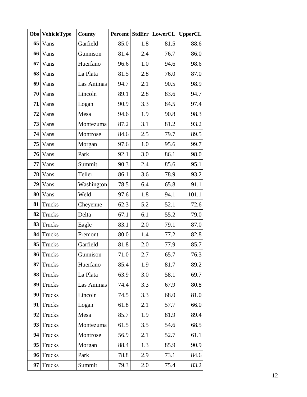| Obs | <b>VehicleType</b> | <b>County</b> | <b>Percent</b> |     | StdErr LowerCL | <b>UpperCL</b> |
|-----|--------------------|---------------|----------------|-----|----------------|----------------|
| 65  | Vans               | Garfield      | 85.0           | 1.8 | 81.5           | 88.6           |
| 66  | Vans               | Gunnison      | 81.4           | 2.4 | 76.7           | 86.0           |
| 67  | Vans               | Huerfano      | 96.6           | 1.0 | 94.6           | 98.6           |
| 68  | Vans               | La Plata      | 81.5           | 2.8 | 76.0           | 87.0           |
| 69  | Vans               | Las Animas    | 94.7           | 2.1 | 90.5           | 98.9           |
| 70  | Vans               | Lincoln       | 89.1           | 2.8 | 83.6           | 94.7           |
| 71  | Vans               | Logan         | 90.9           | 3.3 | 84.5           | 97.4           |
| 72  | Vans               | Mesa          | 94.6           | 1.9 | 90.8           | 98.3           |
| 73  | Vans               | Montezuma     | 87.2           | 3.1 | 81.2           | 93.2           |
| 74  | Vans               | Montrose      | 84.6           | 2.5 | 79.7           | 89.5           |
| 75  | Vans               | Morgan        | 97.6           | 1.0 | 95.6           | 99.7           |
| 76  | Vans               | Park          | 92.1           | 3.0 | 86.1           | 98.0           |
| 77  | Vans               | Summit        | 90.3           | 2.4 | 85.6           | 95.1           |
| 78  | Vans               | Teller        | 86.1           | 3.6 | 78.9           | 93.2           |
| 79  | Vans               | Washington    | 78.5           | 6.4 | 65.8           | 91.1           |
| 80  | Vans               | Weld          | 97.6           | 1.8 | 94.1           | 101.1          |
| 81  | Trucks             | Cheyenne      | 62.3           | 5.2 | 52.1           | 72.6           |
| 82  | Trucks             | Delta         | 67.1           | 6.1 | 55.2           | 79.0           |
| 83  | Trucks             | Eagle         | 83.1           | 2.0 | 79.1           | 87.0           |
| 84  | Trucks             | Fremont       | 80.0           | 1.4 | 77.2           | 82.8           |
| 85  | Trucks             | Garfield      | 81.8           | 2.0 | 77.9           | 85.7           |
| 86  | Trucks             | Gunnison      | 71.0           | 2.7 | 65.7           | 76.3           |
| 87  | Trucks             | Huerfano      | 85.4           | 1.9 | 81.7           | 89.2           |
| 88  | Trucks             | La Plata      | 63.9           | 3.0 | 58.1           | 69.7           |
| 89  | <b>Trucks</b>      | Las Animas    | 74.4           | 3.3 | 67.9           | 80.8           |
| 90  | <b>Trucks</b>      | Lincoln       | 74.5           | 3.3 | 68.0           | 81.0           |
| 91  | <b>Trucks</b>      | Logan         | 61.8           | 2.1 | 57.7           | 66.0           |
| 92  | <b>Trucks</b>      | Mesa          | 85.7           | 1.9 | 81.9           | 89.4           |
| 93  | <b>Trucks</b>      | Montezuma     | 61.5           | 3.5 | 54.6           | 68.5           |
| 94  | <b>Trucks</b>      | Montrose      | 56.9           | 2.1 | 52.7           | 61.1           |
| 95  | <b>Trucks</b>      | Morgan        | 88.4           | 1.3 | 85.9           | 90.9           |
| 96  | Trucks             | Park          | 78.8           | 2.9 | 73.1           | 84.6           |
| 97  | <b>Trucks</b>      | Summit        | 79.3           | 2.0 | 75.4           | 83.2           |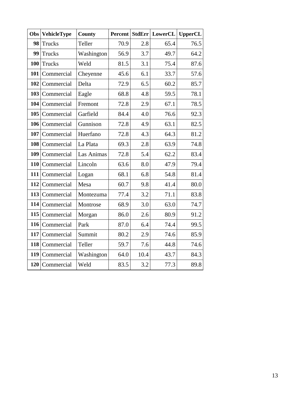| Obs | <b>VehicleType</b> | County     |      |      | <b>Percent StdErr LowerCL</b> | <b>UpperCL</b> |
|-----|--------------------|------------|------|------|-------------------------------|----------------|
| 98  | <b>Trucks</b>      | Teller     | 70.9 | 2.8  | 65.4                          | 76.5           |
| 99  | Trucks             | Washington | 56.9 | 3.7  | 49.7                          | 64.2           |
| 100 | <b>Trucks</b>      | Weld       | 81.5 | 3.1  | 75.4                          | 87.6           |
| 101 | Commercial         | Cheyenne   | 45.6 | 6.1  | 33.7                          | 57.6           |
| 102 | Commercial         | Delta      | 72.9 | 6.5  | 60.2                          | 85.7           |
| 103 | Commercial         | Eagle      | 68.8 | 4.8  | 59.5                          | 78.1           |
| 104 | Commercial         | Fremont    | 72.8 | 2.9  | 67.1                          | 78.5           |
| 105 | Commercial         | Garfield   | 84.4 | 4.0  | 76.6                          | 92.3           |
| 106 | Commercial         | Gunnison   | 72.8 | 4.9  | 63.1                          | 82.5           |
| 107 | Commercial         | Huerfano   | 72.8 | 4.3  | 64.3                          | 81.2           |
| 108 | Commercial         | La Plata   | 69.3 | 2.8  | 63.9                          | 74.8           |
| 109 | Commercial         | Las Animas | 72.8 | 5.4  | 62.2                          | 83.4           |
| 110 | Commercial         | Lincoln    | 63.6 | 8.0  | 47.9                          | 79.4           |
| 111 | Commercial         | Logan      | 68.1 | 6.8  | 54.8                          | 81.4           |
| 112 | Commercial         | Mesa       | 60.7 | 9.8  | 41.4                          | 80.0           |
| 113 | Commercial         | Montezuma  | 77.4 | 3.2  | 71.1                          | 83.8           |
| 114 | Commercial         | Montrose   | 68.9 | 3.0  | 63.0                          | 74.7           |
| 115 | Commercial         | Morgan     | 86.0 | 2.6  | 80.9                          | 91.2           |
| 116 | Commercial         | Park       | 87.0 | 6.4  | 74.4                          | 99.5           |
| 117 | Commercial         | Summit     | 80.2 | 2.9  | 74.6                          | 85.9           |
| 118 | Commercial         | Teller     | 59.7 | 7.6  | 44.8                          | 74.6           |
| 119 | Commercial         | Washington | 64.0 | 10.4 | 43.7                          | 84.3           |
| 120 | Commercial         | Weld       | 83.5 | 3.2  | 77.3                          | 89.8           |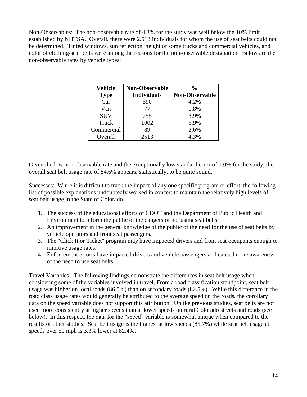Non-Observables: The non-observable rate of 4.3% for the study was well below the 10% limit established by NHTSA. Overall, there were 2,513 individuals for whom the use of seat belts could not be determined. Tinted windows, sun reflection, height of some trucks and commercial vehicles, and color of clothing/seat belts were among the reasons for the non-observable designation. Below are the non-observable rates by vehicle types:

| Vehicle     | <b>Non-Observable</b> | $\frac{1}{2}$         |
|-------------|-----------------------|-----------------------|
| <b>Type</b> | <b>Individuals</b>    | <b>Non-Observable</b> |
| Car         | 590                   | 4.2%                  |
| Van         | 77                    | 1.8%                  |
| <b>SUV</b>  | 755                   | 3.9%                  |
| Truck       | 1002                  | 5.9%                  |
| Commercial  | 89                    | 2.6%                  |
| Overall     | 2513                  | 4.3%                  |

Given the low non-observable rate and the exceptionally low standard error of 1.0% for the study, the overall seat belt usage rate of 84.6% appears, statistically, to be quite sound.

Successes: While it is difficult to track the impact of any one specific program or effort, the following list of possible explanations undoubtedly worked in concert to maintain the relatively high levels of seat belt usage in the State of Colorado.

- 1. The success of the educational efforts of CDOT and the Department of Public Health and Environment to inform the public of the dangers of not using seat belts.
- 2. An improvement in the general knowledge of the public of the need for the use of seat belts by vehicle operators and front seat passengers.
- 3. The "Click It or Ticket" program may have impacted drivers and front seat occupants enough to improve usage rates.
- 4. Enforcement efforts have impacted drivers and vehicle passengers and caused more awareness of the need to use seat belts.

Travel Variables: The following findings demonstrate the differences in seat belt usage when considering some of the variables involved in travel. From a road classification standpoint, seat belt usage was higher on local roads (86.5%) than on secondary roads (82.5%). While this difference in the road class usage rates would generally be attributed to the average speed on the roads, the corollary data on the speed variable does not support this attribution. Unlike previous studies, seat belts are not used more consistently at higher speeds than at lower speeds on rural Colorado streets and roads (see below). In this respect, the data for the "speed" variable is somewhat unique when compared to the results of other studies. Seat belt usage is the highest at low speeds (85.7%) while seat belt usage at speeds over 50 mph is 3.3% lower at 82.4%.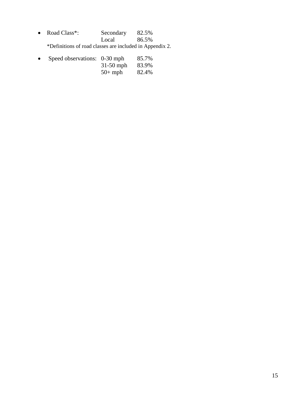| • Road Class <sup>*</sup> :                              | Secondary | 82.5% |
|----------------------------------------------------------|-----------|-------|
|                                                          | Local     | 86.5% |
| *Definitions of road classes are included in Appendix 2. |           |       |

| $\bullet$ | Speed observations: 0-30 mph |             | 85.7% |
|-----------|------------------------------|-------------|-------|
|           |                              | $31-50$ mph | 83.9% |
|           |                              | $50+mph$    | 82.4% |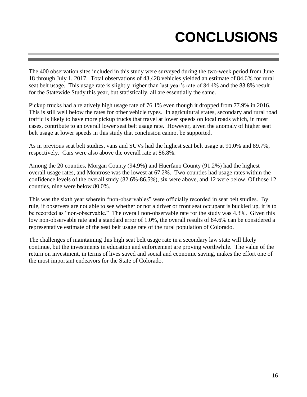# **CONCLUSIONS**

The 400 observation sites included in this study were surveyed during the two-week period from June 18 through July 1, 2017. Total observations of 43,428 vehicles yielded an estimate of 84.6% for rural seat belt usage. This usage rate is slightly higher than last year's rate of 84.4% and the 83.8% result for the Statewide Study this year, but statistically, all are essentially the same.

Pickup trucks had a relatively high usage rate of 76.1% even though it dropped from 77.9% in 2016. This is still well below the rates for other vehicle types. In agricultural states, secondary and rural road traffic is likely to have more pickup trucks that travel at lower speeds on local roads which, in most cases, contribute to an overall lower seat belt usage rate. However, given the anomaly of higher seat belt usage at lower speeds in this study that conclusion cannot be supported.

As in previous seat belt studies, vans and SUVs had the highest seat belt usage at 91.0% and 89.7%, respectively. Cars were also above the overall rate at 86.8%.

Among the 20 counties, Morgan County (94.9%) and Huerfano County (91.2%) had the highest overall usage rates, and Montrose was the lowest at 67.2%. Two counties had usage rates within the confidence levels of the overall study (82.6%-86.5%), six were above, and 12 were below. Of those 12 counties, nine were below 80.0%.

This was the sixth year wherein "non-observables" were officially recorded in seat belt studies. By rule, if observers are not able to see whether or not a driver or front seat occupant is buckled up, it is to be recorded as "non-observable." The overall non-observable rate for the study was 4.3%. Given this low non-observable rate and a standard error of 1.0%, the overall results of 84.6% can be considered a representative estimate of the seat belt usage rate of the rural population of Colorado.

The challenges of maintaining this high seat belt usage rate in a secondary law state will likely continue, but the investments in education and enforcement are proving worthwhile. The value of the return on investment, in terms of lives saved and social and economic saving, makes the effort one of the most important endeavors for the State of Colorado.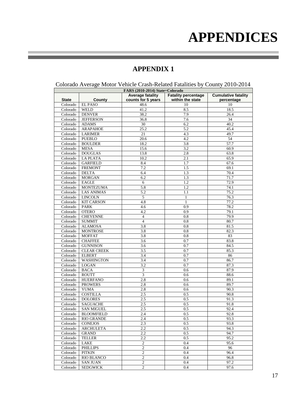### **APPENDICES**

#### **APPENDIX 1**

|                                 | Colorado Average Motor Vehicle Crash-Related Fatalities by County 2010-2014 |                         |                            |                            |  |  |  |  |  |  |
|---------------------------------|-----------------------------------------------------------------------------|-------------------------|----------------------------|----------------------------|--|--|--|--|--|--|
| FARS (2010-2014) State=Colorado |                                                                             |                         |                            |                            |  |  |  |  |  |  |
|                                 |                                                                             | <b>Average fatality</b> | <b>Fatality percentage</b> | <b>Cumulative fatality</b> |  |  |  |  |  |  |
| <b>State</b>                    | <b>County</b>                                                               | counts for 5 years      | within the state           | percentage                 |  |  |  |  |  |  |
| Colorado                        | <b>EL PASO</b>                                                              | 48.6                    | 10                         | 10                         |  |  |  |  |  |  |
| Colorado                        | <b>WELD</b>                                                                 | 41.2                    | 8.5                        | 18.5                       |  |  |  |  |  |  |
| Colorado                        | <b>DENVER</b>                                                               | 38.2                    | 7.9                        | 26.4                       |  |  |  |  |  |  |
| Colorado                        | <b>JEFFERSON</b>                                                            | 36.8                    | 7.6                        | 34                         |  |  |  |  |  |  |
| Colorado                        | <b>ADAMS</b>                                                                | 30                      | 6.2                        | 40.2                       |  |  |  |  |  |  |
| Colorado                        | <b>ARAPAHOE</b>                                                             | 25.2                    | 5.2                        | 45.4                       |  |  |  |  |  |  |
| Colorado                        | <b>LARIMER</b>                                                              | 21                      | 4.3                        | 49.7                       |  |  |  |  |  |  |
| Colorado                        | <b>PUEBLO</b>                                                               | 20.6                    | 4.2                        | 54                         |  |  |  |  |  |  |
| Colorado                        | <b>BOULDER</b>                                                              | 18.2                    | 3.8                        | 57.7                       |  |  |  |  |  |  |
| Colorado                        | <b>MESA</b>                                                                 | 15.6                    | 3.2                        | 60.9                       |  |  |  |  |  |  |
| Colorado                        | <b>DOUGLAS</b>                                                              | 13.8                    | 2.8                        | 63.8                       |  |  |  |  |  |  |
| Colorado                        | <b>LA PLATA</b>                                                             | 10.2                    | 2.1                        | 65.9                       |  |  |  |  |  |  |
| Colorado                        | <b>GARFIELD</b>                                                             | 8.4                     | 1.7                        | 67.6                       |  |  |  |  |  |  |
| Colorado                        | <b>FREMONT</b>                                                              | 7.2                     | 1.5                        | 69.1                       |  |  |  |  |  |  |
| Colorado                        | <b>DELTA</b>                                                                | 6.4                     | 1.3                        | 70.4                       |  |  |  |  |  |  |
| Colorado                        | <b>MORGAN</b>                                                               | 6.2                     | 1.3                        | 71.7                       |  |  |  |  |  |  |
| Colorado                        | <b>EAGLE</b>                                                                | $\sqrt{6}$              | 1.2                        | 72.9                       |  |  |  |  |  |  |
| Colorado                        | <b>MONTEZUMA</b>                                                            | 5.8                     | 1.2                        | 74.1                       |  |  |  |  |  |  |
| Colorado                        | <b>LAS ANIMAS</b>                                                           | 5.2                     | 1.1                        | 75.2                       |  |  |  |  |  |  |
| Colorado                        | <b>LINCOLN</b>                                                              | 5                       | 1                          | 76.3                       |  |  |  |  |  |  |
| Colorado                        | <b>KIT CARSON</b>                                                           | 4.8                     | $\mathbf{1}$               | 77.2                       |  |  |  |  |  |  |
| Colorado                        | <b>PARK</b>                                                                 | 4.6                     | 0.9                        | 78.2                       |  |  |  |  |  |  |
| Colorado                        | <b>OTERO</b>                                                                | 4.2                     | 0.9                        | 79.1                       |  |  |  |  |  |  |
| Colorado                        | <b>CHEYENNE</b>                                                             | $\overline{4}$          | $\overline{0.8}$           | 79.9                       |  |  |  |  |  |  |
| Colorado                        | <b>SUMMIT</b>                                                               | 4                       | 0.8                        | 80.7                       |  |  |  |  |  |  |
| Colorado                        | <b>ALAMOSA</b>                                                              | 3.8                     | 0.8                        | 81.5                       |  |  |  |  |  |  |
| Colorado                        | <b>MONTROSE</b>                                                             | 3.8                     | 0.8                        | 82.3                       |  |  |  |  |  |  |
| Colorado                        | <b>MOFFAT</b>                                                               | 3.8                     | $_{0.8}$                   | 83                         |  |  |  |  |  |  |
| Colorado                        | <b>CHAFFEE</b>                                                              | $\overline{3.6}$        | 0.7                        | 83.8                       |  |  |  |  |  |  |
| Colorado                        | <b>GUNNISON</b>                                                             | 3.6                     | 0.7                        | 84.5                       |  |  |  |  |  |  |
| Colorado                        | <b>CLEAR CREEK</b>                                                          | 3.5                     | 0.7                        | 85.3                       |  |  |  |  |  |  |
| Colorado                        | <b>ELBERT</b>                                                               | 3.4                     | 0.7                        | 86                         |  |  |  |  |  |  |
| Colorado                        | <b>WASHINGTON</b>                                                           | 3.4                     | 0.7                        | 86.7                       |  |  |  |  |  |  |
| Colorado                        | <b>LOGAN</b>                                                                | 3.2                     | 0.7                        | 87.3                       |  |  |  |  |  |  |
| Colorado                        | <b>BACA</b>                                                                 | $\overline{\mathbf{3}}$ | 0.6                        | 87.9                       |  |  |  |  |  |  |
| Colorado                        | <b>ROUTT</b>                                                                | $\mathfrak{Z}$          | 0.6                        | 88.6                       |  |  |  |  |  |  |
| Colorado                        | <b>HUERFANO</b>                                                             | 2.8                     | 0.6                        | 89.1                       |  |  |  |  |  |  |
| Colorado                        | <b>PROWERS</b>                                                              | 2.8                     | 0.6                        | 89.7                       |  |  |  |  |  |  |
| Colorado                        | <b>YUMA</b>                                                                 | 2.8                     | 0.6                        | 90.3                       |  |  |  |  |  |  |
| Colorado                        | <b>COSTILLA</b>                                                             | 2.5                     | 0.5                        | 90.8                       |  |  |  |  |  |  |
| Colorado                        | <b>DOLORES</b>                                                              | 2.5                     | 0.5                        | 91.3                       |  |  |  |  |  |  |
| Colorado                        | <b>SAGUACHE</b>                                                             | 2.5                     | 0.5                        | 91.8                       |  |  |  |  |  |  |
| Colorado                        | <b>SAN MIGUEL</b>                                                           | 2.5                     | 0.5                        | 92.4                       |  |  |  |  |  |  |
| Colorado                        | <b>BLOOMFIELD</b>                                                           | 2.4                     | 0.5                        | 92.8                       |  |  |  |  |  |  |
| Colorado                        | <b>RIO GRANDE</b>                                                           | 2.4                     | 0.5                        | 93.3                       |  |  |  |  |  |  |
| Colorado                        | <b>CONEJOS</b>                                                              | 2.3                     | 0.5                        | 93.8                       |  |  |  |  |  |  |
| Colorado                        | <b>ARCHULETA</b>                                                            | 2.2                     | 0.5                        | 94.3                       |  |  |  |  |  |  |
| Colorado                        | <b>GRAND</b>                                                                | 2.2                     | 0.5                        | 94.7                       |  |  |  |  |  |  |
| Colorado                        | <b>TELLER</b>                                                               | 2.2                     | 0.5                        | 95.2                       |  |  |  |  |  |  |
| Colorado                        | LAKE                                                                        | 2                       | 0.4                        | 95.6                       |  |  |  |  |  |  |
| Colorado                        | <b>PHILLIPS</b>                                                             | $\boldsymbol{2}$        | 0.4                        | 96                         |  |  |  |  |  |  |
| Colorado                        | PITKIN                                                                      | 2                       | 0.4                        | 96.4                       |  |  |  |  |  |  |
| Colorado                        | <b>RIO BLANCO</b>                                                           | $\overline{c}$          | 0.4                        | 96.8                       |  |  |  |  |  |  |
| Colorado                        | <b>SAN JUAN</b>                                                             | $\mathbf{2}$            | 0.4                        | 97.2                       |  |  |  |  |  |  |
| Colorado                        | <b>SEDGWICK</b>                                                             | $\overline{c}$          | 0.4                        | 97.6                       |  |  |  |  |  |  |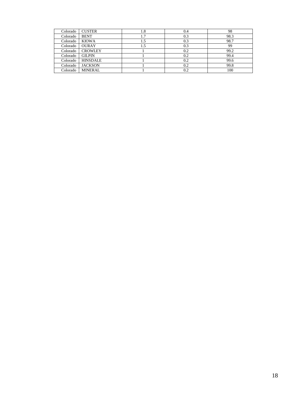| Colorado | <b>CUSTER</b>   | 1.8 | 0.4 | 98   |
|----------|-----------------|-----|-----|------|
| Colorado | <b>BENT</b>     | 1.7 | 0.3 | 98.3 |
| Colorado | <b>KIOWA</b>    | 1.5 | 0.3 | 98.7 |
| Colorado | <b>OURAY</b>    | 1.5 | 0.3 | 99   |
| Colorado | <b>CROWLEY</b>  |     | 0.2 | 99.2 |
| Colorado | <b>GILPIN</b>   |     | 0.2 | 99.4 |
| Colorado | <b>HINSDALE</b> |     | 0.2 | 99.6 |
| Colorado | <b>JACKSON</b>  |     | 0.2 | 99.8 |
| Colorado | <b>MINERAL</b>  |     | 0.2 | 100  |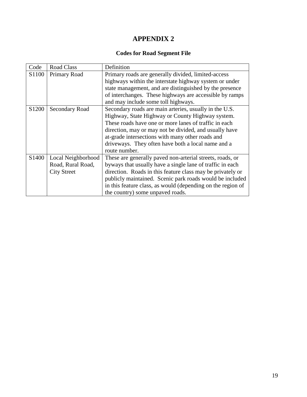#### **Codes for Road Segment File**

| Code              | Road Class         | Definition                                                  |
|-------------------|--------------------|-------------------------------------------------------------|
| S <sub>1100</sub> | Primary Road       | Primary roads are generally divided, limited-access         |
|                   |                    | highways within the interstate highway system or under      |
|                   |                    | state management, and are distinguished by the presence     |
|                   |                    | of interchanges. These highways are accessible by ramps     |
|                   |                    | and may include some toll highways.                         |
| S <sub>1200</sub> | Secondary Road     | Secondary roads are main arteries, usually in the U.S.      |
|                   |                    | Highway, State Highway or County Highway system.            |
|                   |                    | These roads have one or more lanes of traffic in each       |
|                   |                    | direction, may or may not be divided, and usually have      |
|                   |                    | at-grade intersections with many other roads and            |
|                   |                    | driveways. They often have both a local name and a          |
|                   |                    | route number.                                               |
| S <sub>1400</sub> | Local Neighborhood | These are generally paved non-arterial streets, roads, or   |
|                   | Road, Rural Road,  | byways that usually have a single lane of traffic in each   |
|                   | <b>City Street</b> | direction. Roads in this feature class may be privately or  |
|                   |                    | publicly maintained. Scenic park roads would be included    |
|                   |                    | in this feature class, as would (depending on the region of |
|                   |                    | the country) some unpaved roads.                            |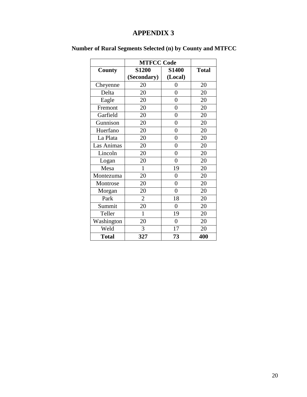|              | <b>MTFCC Code</b> |                |              |
|--------------|-------------------|----------------|--------------|
| County       | <b>S1200</b>      | <b>S1400</b>   | <b>Total</b> |
|              | (Secondary)       | (Local)        |              |
| Cheyenne     | 20                | 0              | 20           |
| Delta        | 20                | $\overline{0}$ | 20           |
| Eagle        | 20                | $\overline{0}$ | 20           |
| Fremont      | 20                | $\overline{0}$ | 20           |
| Garfield     | 20                | $\overline{0}$ | 20           |
| Gunnison     | 20                | $\overline{0}$ | 20           |
| Huerfano     | 20                | $\overline{0}$ | 20           |
| La Plata     | 20                | $\overline{0}$ | 20           |
| Las Animas   | 20                | $\overline{0}$ | 20           |
| Lincoln      | 20                | $\overline{0}$ | 20           |
| Logan        | 20                | $\overline{0}$ | 20           |
| Mesa         | $\mathbf{1}$      | 19             | 20           |
| Montezuma    | 20                | $\overline{0}$ | 20           |
| Montrose     | 20                | $\overline{0}$ | 20           |
| Morgan       | 20                | $\overline{0}$ | 20           |
| Park         | $\overline{2}$    | 18             | 20           |
| Summit       | 20                | $\overline{0}$ | 20           |
| Teller       | $\mathbf{1}$      | 19             | 20           |
| Washington   | 20                | $\theta$       | 20           |
| Weld         | 3                 | 17             | 20           |
| <b>Total</b> | 327               | 73             | 400          |

### **Number of Rural Segments Selected (n) by County and MTFCC**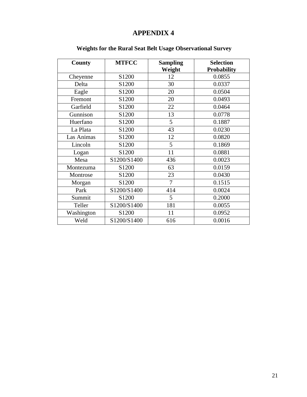| County     | <b>MTFCC</b>      | <b>Sampling</b> | <b>Selection</b>   |
|------------|-------------------|-----------------|--------------------|
|            |                   | Weight          | <b>Probability</b> |
| Cheyenne   | S1200             | 12              | 0.0855             |
| Delta      | S1200             | 30              | 0.0337             |
| Eagle      | S1200             | 20              | 0.0504             |
| Fremont    | S1200             | 20              | 0.0493             |
| Garfield   | S1200             | 22              | 0.0464             |
| Gunnison   | S1200             | 13              | 0.0778             |
| Huerfano   | S1200             | 5               | 0.1887             |
| La Plata   | S1200             | 43              | 0.0230             |
| Las Animas | S1200             | 12              | 0.0820             |
| Lincoln    | S1200             | 5               | 0.1869             |
| Logan      | S1200             | 11              | 0.0881             |
| Mesa       | S1200/S1400       | 436             | 0.0023             |
| Montezuma  | S1200             | 63              | 0.0159             |
| Montrose   | S <sub>1200</sub> | 23              | 0.0430             |
| Morgan     | S1200             | $\overline{7}$  | 0.1515             |
| Park       | S1200/S1400       | 414             | 0.0024             |
| Summit     | S1200             | 5               | 0.2000             |
| Teller     | S1200/S1400       | 181             | 0.0055             |
| Washington | S1200             | 11              | 0.0952             |
| Weld       | S1200/S1400       | 616             | 0.0016             |

### **Weights for the Rural Seat Belt Usage Observational Survey**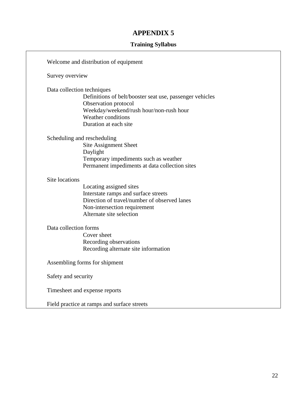#### **Training Syllabus**

Welcome and distribution of equipment Survey overview Data collection techniques Definitions of belt/booster seat use, passenger vehicles Observation protocol Weekday/weekend/rush hour/non-rush hour Weather conditions Duration at each site Scheduling and rescheduling Site Assignment Sheet Daylight Temporary impediments such as weather Permanent impediments at data collection sites Site locations Locating assigned sites Interstate ramps and surface streets Direction of travel/number of observed lanes Non-intersection requirement Alternate site selection Data collection forms Cover sheet Recording observations Recording alternate site information Assembling forms for shipment Safety and security Timesheet and expense reports Field practice at ramps and surface streets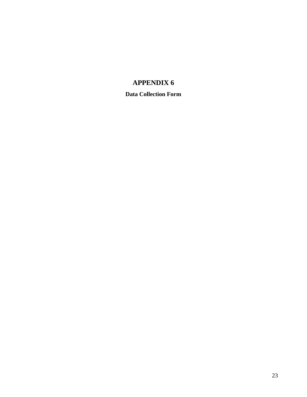**Data Collection Form**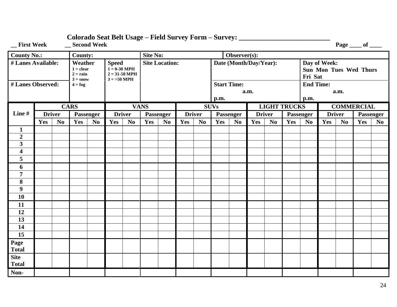| _First Week                                                | __ Second Week<br>Page ___ of ___ |                |                |                |                                                                                                              |                |                 |                |                        |                |             |                    |               |                |                                                          |                  |               |                |                   |                |
|------------------------------------------------------------|-----------------------------------|----------------|----------------|----------------|--------------------------------------------------------------------------------------------------------------|----------------|-----------------|----------------|------------------------|----------------|-------------|--------------------|---------------|----------------|----------------------------------------------------------|------------------|---------------|----------------|-------------------|----------------|
| <b>County No.:</b>                                         |                                   |                | <b>County:</b> |                |                                                                                                              |                | <b>Site No:</b> |                |                        |                |             | Observer(s):       |               |                |                                                          |                  |               |                |                   |                |
| # Lanes Available:<br>Weather<br>$1 = clear$<br>$2 = rain$ |                                   |                |                |                | <b>Site Location:</b><br><b>Speed</b><br>$1 = 0.30 \text{ MPH}$<br>$2 = 31 - 50 \text{ MPH}$<br>$3 = 50$ MPH |                |                 |                | Date (Month/Day/Year): |                |             |                    |               |                | Day of Week:<br><b>Sun Mon Tues Wed Thurs</b><br>Fri Sat |                  |               |                |                   |                |
| $3 = snow$<br># Lanes Observed:<br>$4 = f \circ g$         |                                   |                |                |                |                                                                                                              |                |                 |                |                        |                |             | <b>Start Time:</b> | a.m.          |                |                                                          | <b>End Time:</b> |               | a.m.           |                   |                |
|                                                            |                                   |                |                |                |                                                                                                              |                |                 |                |                        |                | p.m.        |                    |               |                |                                                          | p.m.             |               |                |                   |                |
|                                                            |                                   |                | <b>CARS</b>    |                |                                                                                                              |                | <b>VANS</b>     |                |                        |                | <b>SUVs</b> |                    |               |                | <b>LIGHT TRUCKS</b>                                      |                  |               |                | <b>COMMERCIAL</b> |                |
| Line#                                                      |                                   | <b>Driver</b>  |                | Passenger      | <b>Driver</b>                                                                                                |                | Passenger       |                | <b>Driver</b>          |                |             | Passenger          | <b>Driver</b> |                |                                                          | Passenger        | <b>Driver</b> |                | Passenger         |                |
|                                                            | Yes                               | N <sub>0</sub> | Yes            | N <sub>0</sub> | Yes                                                                                                          | N <sub>0</sub> | Yes             | N <sub>o</sub> | Yes                    | N <sub>0</sub> | Yes         | N <sub>0</sub>     | Yes           | N <sub>0</sub> | Yes                                                      | N <sub>0</sub>   | Yes           | N <sub>0</sub> | Yes               | N <sub>0</sub> |
| $\mathbf{1}$                                               |                                   |                |                |                |                                                                                                              |                |                 |                |                        |                |             |                    |               |                |                                                          |                  |               |                |                   |                |
| $\overline{2}$                                             |                                   |                |                |                |                                                                                                              |                |                 |                |                        |                |             |                    |               |                |                                                          |                  |               |                |                   |                |
| $\overline{\mathbf{3}}$                                    |                                   |                |                |                |                                                                                                              |                |                 |                |                        |                |             |                    |               |                |                                                          |                  |               |                |                   |                |
| $\overline{\mathbf{4}}$                                    |                                   |                |                |                |                                                                                                              |                |                 |                |                        |                |             |                    |               |                |                                                          |                  |               |                |                   |                |
| 5                                                          |                                   |                |                |                |                                                                                                              |                |                 |                |                        |                |             |                    |               |                |                                                          |                  |               |                |                   |                |
| 6                                                          |                                   |                |                |                |                                                                                                              |                |                 |                |                        |                |             |                    |               |                |                                                          |                  |               |                |                   |                |
| $\overline{7}$                                             |                                   |                |                |                |                                                                                                              |                |                 |                |                        |                |             |                    |               |                |                                                          |                  |               |                |                   |                |
| 8                                                          |                                   |                |                |                |                                                                                                              |                |                 |                |                        |                |             |                    |               |                |                                                          |                  |               |                |                   |                |
| $\boldsymbol{9}$                                           |                                   |                |                |                |                                                                                                              |                |                 |                |                        |                |             |                    |               |                |                                                          |                  |               |                |                   |                |
| 10                                                         |                                   |                |                |                |                                                                                                              |                |                 |                |                        |                |             |                    |               |                |                                                          |                  |               |                |                   |                |
| 11                                                         |                                   |                |                |                |                                                                                                              |                |                 |                |                        |                |             |                    |               |                |                                                          |                  |               |                |                   |                |
| 12                                                         |                                   |                |                |                |                                                                                                              |                |                 |                |                        |                |             |                    |               |                |                                                          |                  |               |                |                   |                |
| 13                                                         |                                   |                |                |                |                                                                                                              |                |                 |                |                        |                |             |                    |               |                |                                                          |                  |               |                |                   |                |
| 14                                                         |                                   |                |                |                |                                                                                                              |                |                 |                |                        |                |             |                    |               |                |                                                          |                  |               |                |                   |                |
| $\overline{15}$                                            |                                   |                |                |                |                                                                                                              |                |                 |                |                        |                |             |                    |               |                |                                                          |                  |               |                |                   |                |
| Page<br>Total                                              |                                   |                |                |                |                                                                                                              |                |                 |                |                        |                |             |                    |               |                |                                                          |                  |               |                |                   |                |
| <b>Site</b>                                                |                                   |                |                |                |                                                                                                              |                |                 |                |                        |                |             |                    |               |                |                                                          |                  |               |                |                   |                |
| <b>Total</b>                                               |                                   |                |                |                |                                                                                                              |                |                 |                |                        |                |             |                    |               |                |                                                          |                  |               |                |                   |                |
| Non-                                                       |                                   |                |                |                |                                                                                                              |                |                 |                |                        |                |             |                    |               |                |                                                          |                  |               |                |                   |                |

### **Colorado Seat Belt Usage – Field Survey Form – Survey: \_\_\_\_\_\_\_\_\_\_\_\_\_\_\_\_\_\_\_\_\_\_\_\_\_\_**